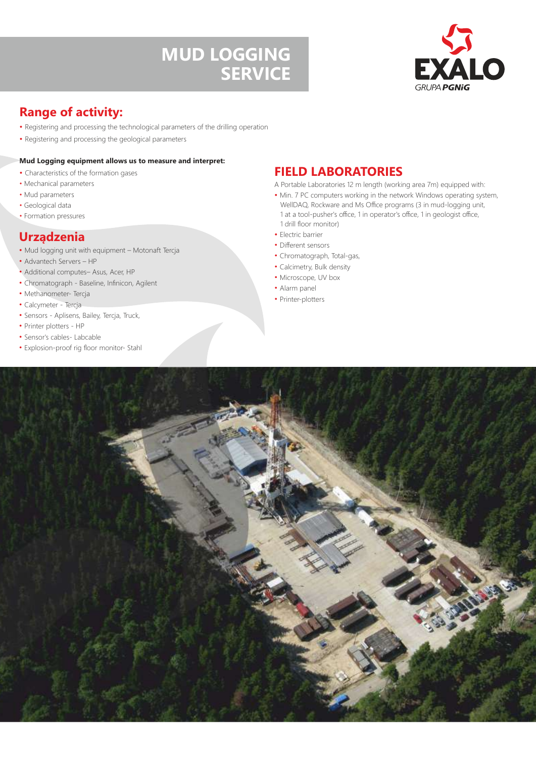# **MUD LOGGING SERVICE**



# **Range of activity:**

- Registering and processing the technological parameters of the drilling operation
- Registering and processing the geological parameters

### **Mud Logging equipment allows us to measure and interpret:**

- Characteristics of the formation gases
- Mechanical parameters
- Mud parameters
- Geological data
- Formation pressures

## **Urządzenia**

- Mud logging unit with equipment Motonaft Tercja
- Advantech Servers HP
- Additional computes– Asus, Acer, HP
- Chromatograph Baseline, Infinicon, Agilent
- Methanometer- Tercja
- Calcymeter Tercja
- Sensors Aplisens, Bailey, Tercja, Truck,
- Printer plotters HP
- Sensor's cables- Labcable
- Explosion-proof rig floor monitor- Stahl

## **FIELD LABORATORIES**

- A Portable Laboratories 12 m length (working area 7m) equipped with:
- Min. 7 PC computers working in the network Windows operating system, WellDAQ, Rockware and Ms Office programs (3 in mud-logging unit, 1 at a tool-pusher's office, 1 in operator's office, 1 in geologist office, 1 drill floor monitor)
- Electric barrier
- Different sensors
- Chromatograph, Total-gas,
- Calcimetry, Bulk density
- Microscope, UV box
- Alarm panel
- Printer-plotters